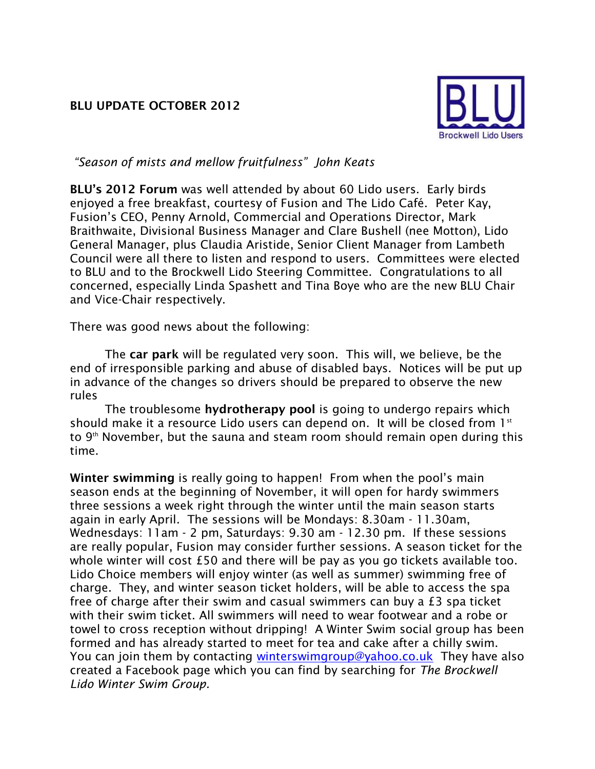## **BLU UPDATE OCTOBER 2012**



*"Season of mists and mellow fruitfulness" John Keats*

**BLU's 2012 Forum** was well attended by about 60 Lido users. Early birds enjoyed a free breakfast, courtesy of Fusion and The Lido Café. Peter Kay, Fusion's CEO, Penny Arnold, Commercial and Operations Director, Mark Braithwaite, Divisional Business Manager and Clare Bushell (nee Motton), Lido General Manager, plus Claudia Aristide, Senior Client Manager from Lambeth Council were all there to listen and respond to users. Committees were elected to BLU and to the Brockwell Lido Steering Committee. Congratulations to all concerned, especially Linda Spashett and Tina Boye who are the new BLU Chair and Vice-Chair respectively.

There was good news about the following:

The **car park** will be regulated very soon. This will, we believe, be the end of irresponsible parking and abuse of disabled bays. Notices will be put up in advance of the changes so drivers should be prepared to observe the new rules

The troublesome **hydrotherapy pool** is going to undergo repairs which should make it a resource Lido users can depend on. It will be closed from  $1<sup>st</sup>$ to  $9<sup>th</sup>$  November, but the sauna and steam room should remain open during this time.

**Winter swimming** is really going to happen! From when the pool's main season ends at the beginning of November, it will open for hardy swimmers three sessions a week right through the winter until the main season starts again in early April. The sessions will be Mondays: 8.30am - 11.30am, Wednesdays: 11am - 2 pm, Saturdays: 9.30 am - 12.30 pm. If these sessions are really popular, Fusion may consider further sessions. A season ticket for the whole winter will cost £50 and there will be pay as you go tickets available too. Lido Choice members will enjoy winter (as well as summer) swimming free of charge. They, and winter season ticket holders, will be able to access the spa free of charge after their swim and casual swimmers can buy a £3 spa ticket with their swim ticket. All swimmers will need to wear footwear and a robe or towel to cross reception without dripping! A Winter Swim social group has been formed and has already started to meet for tea and cake after a chilly swim. You can join them by contacting [winterswimgroup@yahoo.co.uk](mailto:winterswimgroup@yahoo.co.uk) They have also created a Facebook page which you can find by searching for *The Brockwell Lido Winter Swim Group.*